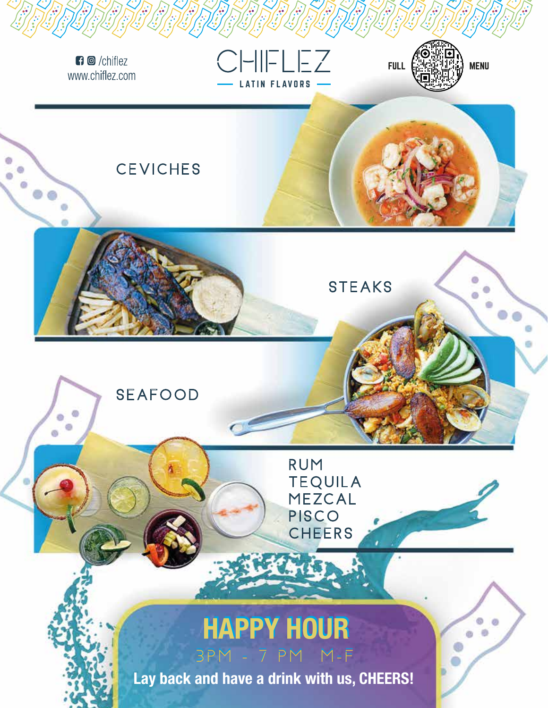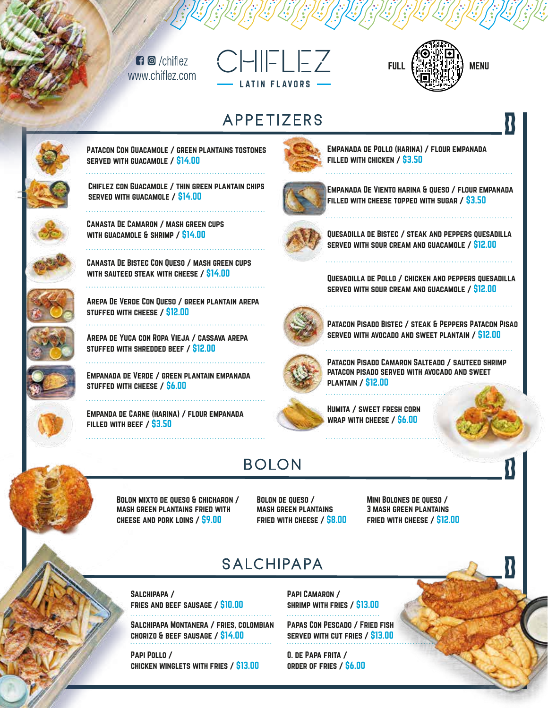$\blacksquare$   $\blacksquare$   $\blacksquare$   $\blacksquare$   $\blacksquare$   $\blacksquare$   $\blacksquare$ www.chiflez.com





#### APPFTIZFRS



#### Patacon Con Guacamole / green plantains tostones served with guacamole / \$14.00



# Chiflez con Guacamole / thin green plantain chips

served with guacamole / \$14.00



Canasta De Camaron / mash green cups with guacamole & shrimp / \$14.00



Canasta De Bistec Con Queso / mash green cups with sauteed steak with cheese / \$14.00



Arepa De Verde Con Queso / green plantain arepa stuffed with cheese / \$12.00



Arepa de Yuca con Ropa Vieja / cassava arepa stuffed with shredded beef / \$12.00 

Empanada de Verde / green plantain empanada stuffed with cheese / \$6.00

Empanda de Carne (harina) / flour empanada filled with beef / \$3.50



Empanada de Pollo (harina) / flour empanada filled with chicken / \$3.50



Empanada De Viento harina & queso / flour empanada filled with cheese topped with sugar / \$3.50



Quesadilla de Bistec / steak and peppers quesadilla served with sour cream and guacamole / \$12.00

Quesadilla de Pollo / chicken and peppers quesadilla served with sour cream and guacamole / \$12.00



Patacon Pisado Bistec / steak & Peppers Patacon Pisao served with avocado and sweet plantain / \$12.00



Patacon Pisado Camaron Salteado / sauteed shrimp patacon pisado served with avocado and sweet plantain / \$12.00

Humita / sweet fresh corn wrap with cheese / \$6.00

#### **BOLON**

Bolon mixto de queso & chicharon / mash green plantains fried with cheese and pork loins / \$9.00

Bolon de queso / mash green plantains fried with cheese / \$8.00

MINI BOLONES DE QUESO / 3 mash green plantains fried with cheese / \$12.00

## SAICHIPAPA

Salchipapa / fries and beef sausage / \$10.00

Salchipapa Montanera / fries, colombian chorizo & beef sausage / \$14.00

Papi Pollo / chicken winglets with fries / \$13.00 Papi Camaron / shrimp with fries / \$13.00

Papas Con Pescado / Fried fish served with cut fries / \$13.00

O. de Papa frita / order of fries / \$6.00

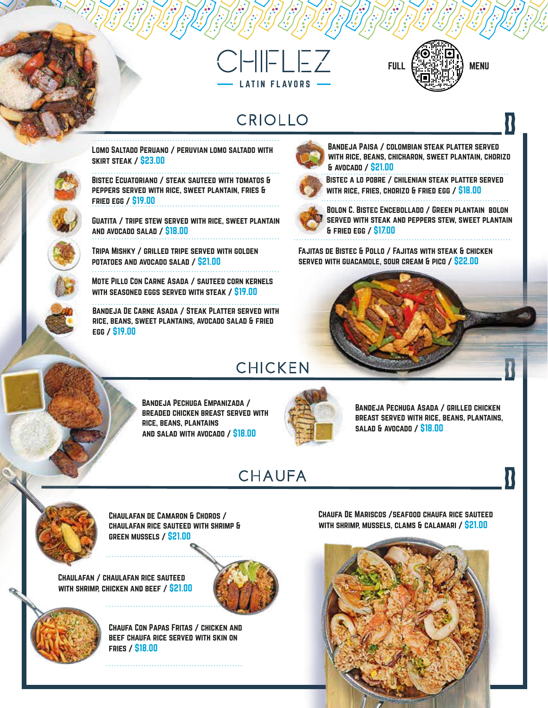



#### CRIOLLO



Bandeja Paisa / colombian steak platter served with rice, beans, chicharon, sweet plantain, chorizo & avocado / \$21.00



Bistec a lo pobre / chilenian steak platter served with rice, fries, chorizo & fried egg / \$18.00



Bolon C. Bistec Encebollado / Green plantain bolon served with steak and peppers stew, sweet plantain & fried egg / \$17.00

> Bandeja Pechuga Asada / grilled chicken breast served with rice, beans, plantains,

> > U

Fajitas de Bistec & Pollo / Fajitas with steak & chicken served with guacamole, sour cream & pico / \$22.00



Bandeja Pechuga Empanizada / breaded chicken breast served with rice, beans, plantains

Bandeja De Carne Asada / Steak Platter served with rice, beans, sweet plantains, avocado salad & fried

Mote Pillo Con Carne Asada / sauteed corn kernels with seasoned eggs served with steak / \$19.00

Lomo Saltado Peruano / peruvian lomo saltado with

Bistec Ecuatoriano / steak sauteed with tomatos & peppers served with rice, sweet plantain, fries & fried egg / \$19.00

Guatita / tripe stew served with rice, sweet plantain

Tripa Mishky / grilled tripe served with golden

potatoes and avocado salad / \$21.00

and salad with avocado / \$18.00

#### **CHAUFA**



Chaulafan de Camaron & Choros / chaulafan rice sauteed with shrimp & green mussels / \$21.00

Chaulafan / chaulafan rice sauteed with shrimp, chicken and beef / \$21.00

egg / \$19.00

skirt steak / \$23.00

and avocado salad / \$18.00





Chaufa Con Papas Fritas / chicken and beef chaufa rice served with skin on fries / \$18.00

Chaufa De Mariscos /seafood chaufa rice sauteed with shrimp, mussels, clams & calamari / \$21.00

salad & avocado / \$18.00

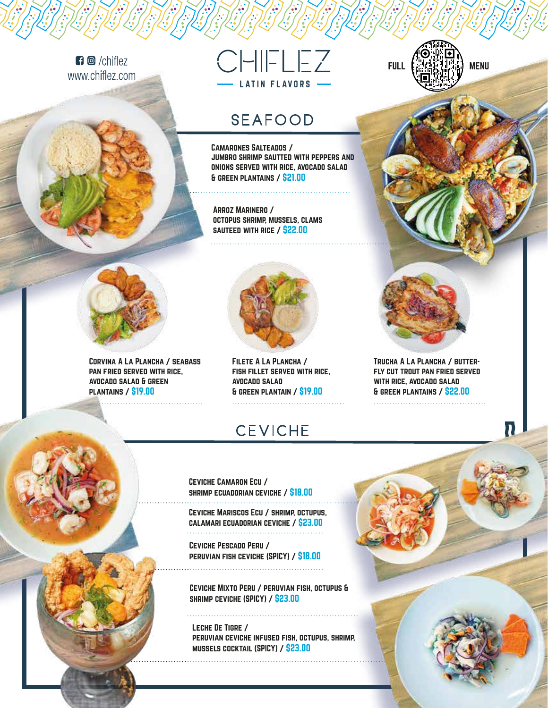$\blacksquare$   $\blacksquare$  /chiflez www.chiflez.com



#### **SEAFOOD**

Camarones Salteados / jumbro shrimp sautted with peppers and onions served with rice, avocado salad & green plantains / \$21.00

Arroz Marinero / octopus shrimp, mussels, clams sauteed with rice / \$22.00



Corvina A La Plancha / seabass pan fried served with rice, avocado salad & green plantains / \$19.00



Filete A La Plancha / fish fillet served with rice, avocado salad & green plantain / \$19.00

### **CEVICHE**





Trucha A La Plancha / butterfly cut trout pan fried served with rice, avocado salad & green plantains / \$22.00

Ceviche Camaron Ecu / shrimp ecuadorian ceviche / \$18.00 

Ceviche Mariscos Ecu / shrimp, octupus, calamari ecuadorian ceviche / \$23.00 

Ceviche Pescado Peru / peruvian fish ceviche (SPICY) / \$18.00

Ceviche Mixto Peru / peruvian fish, octupus & shrimp ceviche (SPICY) / \$23.00

Leche De Tigre / peruvian ceviche infused fish, octupus, shrimp, mussels cocktail (SPICY) / \$23.00



 $\mathbf n$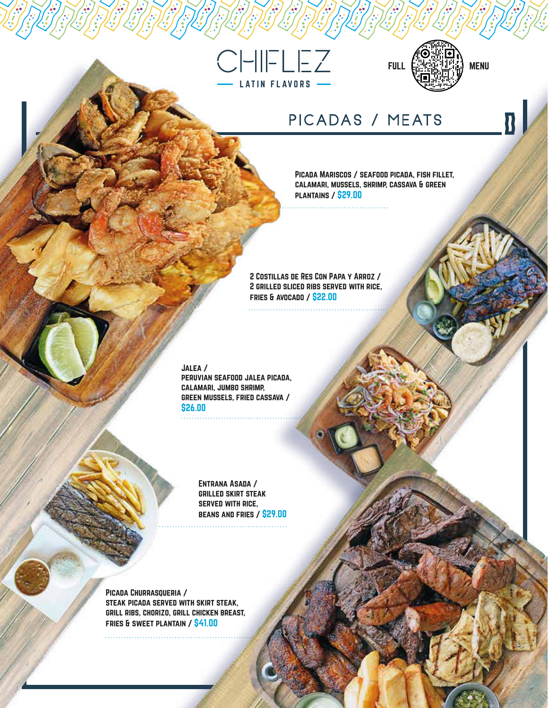



 $\overline{\mathbf{B}}$ 

#### PICADAS / MEATS

Picada Mariscos / seafood picada, fish fillet, calamari, mussels, shrimp, cassava & green plantains / \$29.00

2 Costillas de Res Con Papa y Arroz / 2 grilled sliced ribs served with rice, fries & avocado / \$22.00

Jalea /

peruvian seafood jalea picada, calamari, jumbo shrimp, green mussels, fried cassava / \$26.00

> Entrana Asada / grilled skirt steak served with rice, beans and fries / \$29.00

PICADA CHURRASQUERIA / steak picada served with skirt steak, grill ribs, chorizo, grill chicken breast, fries & sweet plantain / \$41.00